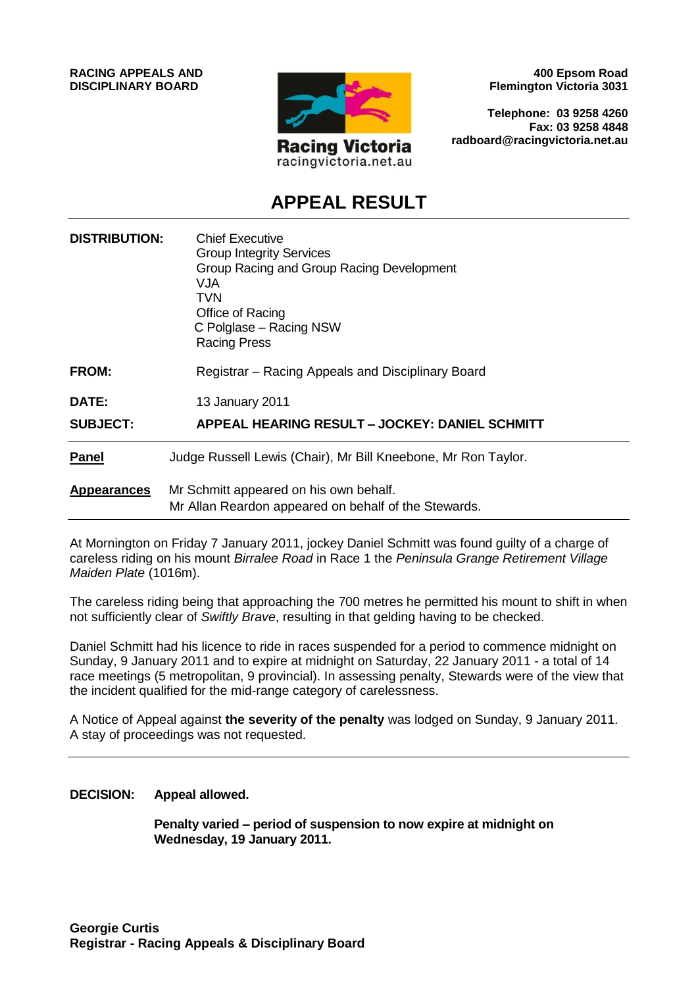

**400 Epsom Road Flemington Victoria 3031**

**Telephone: 03 9258 4260 Fax: 03 9258 4848 radboard@racingvictoria.net.au**

# **APPEAL RESULT**

| <b>DISTRIBUTION:</b> | <b>Chief Executive</b><br><b>Group Integrity Services</b><br>Group Racing and Group Racing Development<br>VJA<br>TVN<br>Office of Racing<br>C Polglase – Racing NSW<br><b>Racing Press</b> |
|----------------------|--------------------------------------------------------------------------------------------------------------------------------------------------------------------------------------------|
| <b>FROM:</b>         | Registrar – Racing Appeals and Disciplinary Board                                                                                                                                          |
| <b>DATE:</b>         | 13 January 2011                                                                                                                                                                            |
| <b>SUBJECT:</b>      | APPEAL HEARING RESULT - JOCKEY: DANIEL SCHMITT                                                                                                                                             |
| <b>Panel</b>         | Judge Russell Lewis (Chair), Mr Bill Kneebone, Mr Ron Taylor.                                                                                                                              |
| <b>Appearances</b>   | Mr Schmitt appeared on his own behalf.<br>Mr Allan Reardon appeared on behalf of the Stewards.                                                                                             |

At Mornington on Friday 7 January 2011, jockey Daniel Schmitt was found guilty of a charge of careless riding on his mount *Birralee Road* in Race 1 the *Peninsula Grange Retirement Village Maiden Plate* (1016m).

The careless riding being that approaching the 700 metres he permitted his mount to shift in when not sufficiently clear of *Swiftly Brave*, resulting in that gelding having to be checked.

Daniel Schmitt had his licence to ride in races suspended for a period to commence midnight on Sunday, 9 January 2011 and to expire at midnight on Saturday, 22 January 2011 - a total of 14 race meetings (5 metropolitan, 9 provincial). In assessing penalty, Stewards were of the view that the incident qualified for the mid-range category of carelessness.

A Notice of Appeal against **the severity of the penalty** was lodged on Sunday, 9 January 2011. A stay of proceedings was not requested.

**DECISION: Appeal allowed.**

**Penalty varied – period of suspension to now expire at midnight on Wednesday, 19 January 2011.**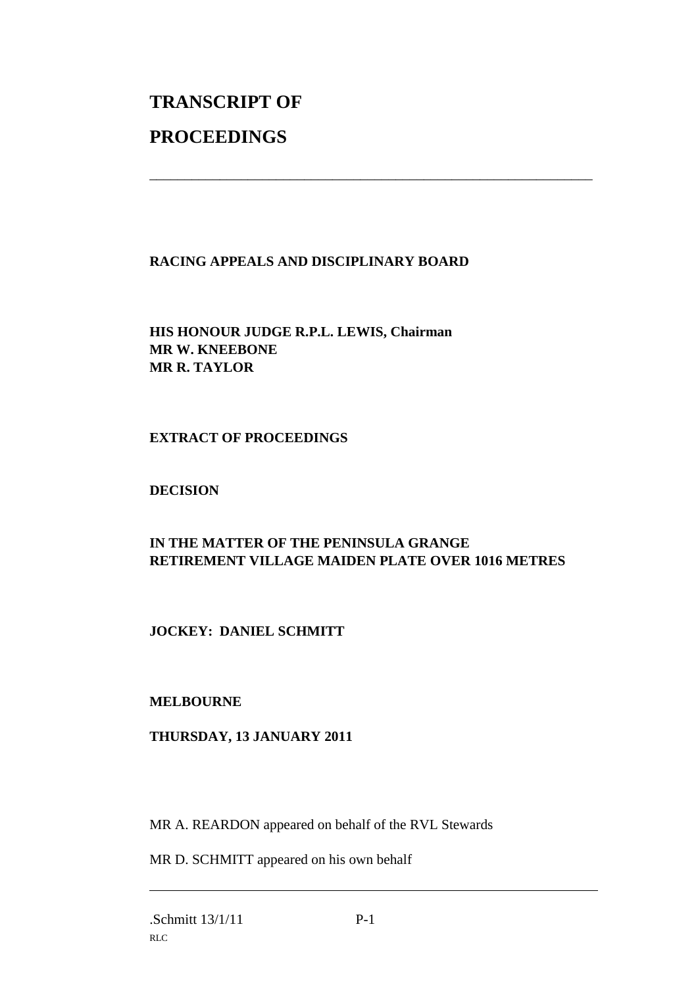# **TRANSCRIPT OF PROCEEDINGS**

# **RACING APPEALS AND DISCIPLINARY BOARD**

\_\_\_\_\_\_\_\_\_\_\_\_\_\_\_\_\_\_\_\_\_\_\_\_\_\_\_\_\_\_\_\_\_\_\_\_\_\_\_\_\_\_\_\_\_\_\_\_\_\_\_\_\_\_\_\_\_\_\_\_\_\_\_

**HIS HONOUR JUDGE R.P.L. LEWIS, Chairman MR W. KNEEBONE MR R. TAYLOR**

# **EXTRACT OF PROCEEDINGS**

# **DECISION**

# **IN THE MATTER OF THE PENINSULA GRANGE RETIREMENT VILLAGE MAIDEN PLATE OVER 1016 METRES**

# **JOCKEY: DANIEL SCHMITT**

### **MELBOURNE**

### **THURSDAY, 13 JANUARY 2011**

MR A. REARDON appeared on behalf of the RVL Stewards

MR D. SCHMITT appeared on his own behalf